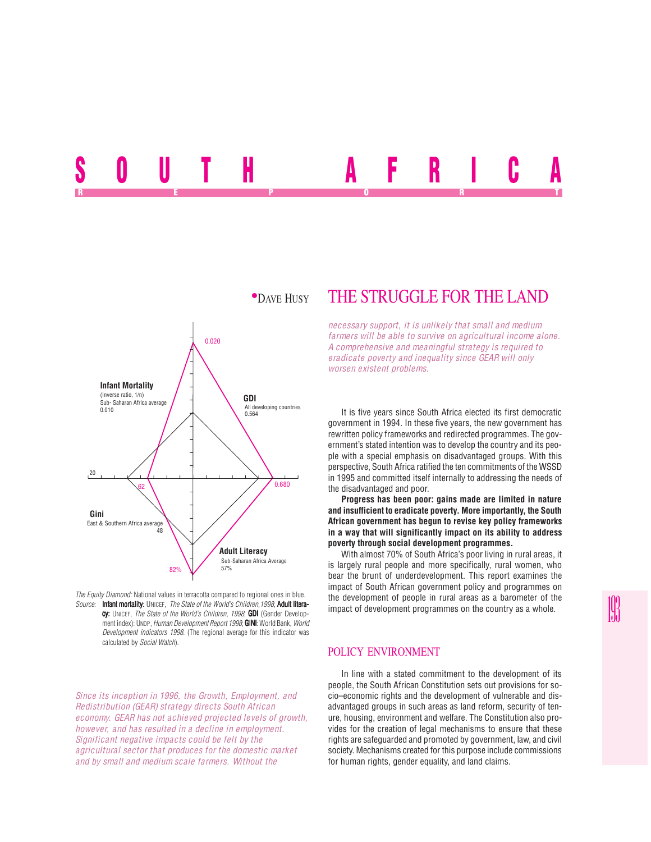SUUIN AFRICA REPORT OF STATE REPORT OF STATE REPORT OF STATE REPORT OF STATE REPORT OF STATE REPORT OF STATE REPORT OF STATE REPORT OF STATE REPORT OF STATE REPORT OF STATE REPORT OF STATE REPORT OF STATE REPORT OF STATE REPORT OF STAT



*The Equity Diamond:* National values in terracotta compared to regional ones in blue. *Source:* Infant mortality: UNICEF, *The State of the World's Children, 1998*; Adult literacy: UNICEF, *The State of the World's Children, 1998*; GDI (Gender Development index): UNDP, *Human Development Report 1998*; **GINI**: World Bank, *World Development indicators 1998*. (The regional average for this indicator was calculated by *Social Watch*).

*Since its inception in 1996, the Growth, Employment, and Redistribution (GEAR) strategy directs South African economy. GEAR has not achieved projected levels of growth, however, and has resulted in a decline in employment. Significant negative impacts could be felt by the agricultural sector that produces for the domestic market and by small and medium scale farmers. Without the*

# \*DAVE HUSY THE STRUGGLE FOR THE LAND

*necessary support, it is unlikely that small and medium farmers will be able to survive on agricultural income alone. A comprehensive and meaningful strategy is required to eradicate poverty and inequality since GEAR will only worsen existent problems.*

It is five years since South Africa elected its first democratic government in 1994. In these five years, the new government has rewritten policy frameworks and redirected programmes. The government's stated intention was to develop the country and its people with a special emphasis on disadvantaged groups. With this perspective, South Africa ratified the ten commitments of the WSSD in 1995 and committed itself internally to addressing the needs of the disadvantaged and poor.

**Progress has been poor: gains made are limited in nature and insufficient to eradicate poverty. More importantly, the South African government has begun to revise key policy frameworks in a way that will significantly impact on its ability to address poverty through social development programmes.**

With almost 70% of South Africa's poor living in rural areas, it is largely rural people and more specifically, rural women, who bear the brunt of underdevelopment. This report examines the impact of South African government policy and programmes on the development of people in rural areas as a barometer of the impact of development programmes on the country as a whole.

## POLICY ENVIRONMENT

In line with a stated commitment to the development of its people, the South African Constitution sets out provisions for socio–economic rights and the development of vulnerable and disadvantaged groups in such areas as land reform, security of tenure, housing, environment and welfare. The Constitution also provides for the creation of legal mechanisms to ensure that these rights are safeguarded and promoted by government, law, and civil society. Mechanisms created for this purpose include commissions for human rights, gender equality, and land claims.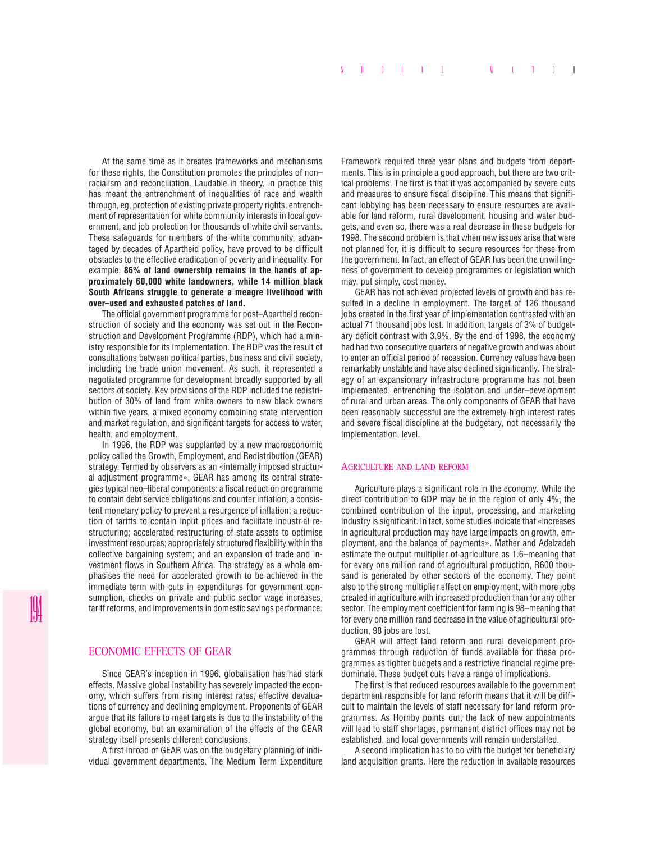At the same time as it creates frameworks and mechanisms for these rights, the Constitution promotes the principles of non– racialism and reconciliation. Laudable in theory, in practice this has meant the entrenchment of inequalities of race and wealth through, eg, protection of existing private property rights, entrenchment of representation for white community interests in local government, and job protection for thousands of white civil servants. These safeguards for members of the white community, advantaged by decades of Apartheid policy, have proved to be difficult obstacles to the effective eradication of poverty and inequality. For example, **86% of land ownership remains in the hands of approximately 60,000 white landowners, while 14 million black South Africans struggle to generate a meagre livelihood with over–used and exhausted patches of land.**

The official government programme for post–Apartheid reconstruction of society and the economy was set out in the Reconstruction and Development Programme (RDP), which had a ministry responsible for its implementation. The RDP was the result of consultations between political parties, business and civil society, including the trade union movement. As such, it represented a negotiated programme for development broadly supported by all sectors of society. Key provisions of the RDP included the redistribution of 30% of land from white owners to new black owners within five years, a mixed economy combining state intervention and market regulation, and significant targets for access to water, health, and employment.

In 1996, the RDP was supplanted by a new macroeconomic policy called the Growth, Employment, and Redistribution (GEAR) strategy. Termed by observers as an «internally imposed structural adjustment programme», GEAR has among its central strategies typical neo–liberal components: a fiscal reduction programme to contain debt service obligations and counter inflation; a consistent monetary policy to prevent a resurgence of inflation; a reduction of tariffs to contain input prices and facilitate industrial restructuring; accelerated restructuring of state assets to optimise investment resources; appropriately structured flexibility within the collective bargaining system; and an expansion of trade and investment flows in Southern Africa. The strategy as a whole emphasises the need for accelerated growth to be achieved in the immediate term with cuts in expenditures for government consumption, checks on private and public sector wage increases, tariff reforms, and improvements in domestic savings performance.

# ECONOMIC EFFECTS OF GEAR

Since GEAR's inception in 1996, globalisation has had stark effects. Massive global instability has severely impacted the economy, which suffers from rising interest rates, effective devaluations of currency and declining employment. Proponents of GEAR argue that its failure to meet targets is due to the instability of the global economy, but an examination of the effects of the GEAR strategy itself presents different conclusions.

A first inroad of GEAR was on the budgetary planning of individual government departments. The Medium Term Expenditure Framework required three year plans and budgets from departments. This is in principle a good approach, but there are two critical problems. The first is that it was accompanied by severe cuts and measures to ensure fiscal discipline. This means that significant lobbying has been necessary to ensure resources are available for land reform, rural development, housing and water budgets, and even so, there was a real decrease in these budgets for 1998. The second problem is that when new issues arise that were not planned for, it is difficult to secure resources for these from the government. In fact, an effect of GEAR has been the unwillingness of government to develop programmes or legislation which may, put simply, cost money.

GEAR has not achieved projected levels of growth and has resulted in a decline in employment. The target of 126 thousand jobs created in the first year of implementation contrasted with an actual 71 thousand jobs lost. In addition, targets of 3% of budgetary deficit contrast with 3.9%. By the end of 1998, the economy had had two consecutive quarters of negative growth and was about to enter an official period of recession. Currency values have been remarkably unstable and have also declined significantly. The strategy of an expansionary infrastructure programme has not been implemented, entrenching the isolation and under–development of rural and urban areas. The only components of GEAR that have been reasonably successful are the extremely high interest rates and severe fiscal discipline at the budgetary, not necessarily the implementation, level.

#### AGRICULTURE AND LAND REFORM

Agriculture plays a significant role in the economy. While the direct contribution to GDP may be in the region of only 4%, the combined contribution of the input, processing, and marketing industry is significant. In fact, some studies indicate that «increases in agricultural production may have large impacts on growth, employment, and the balance of payments». Mather and Adelzadeh estimate the output multiplier of agriculture as 1.6–meaning that for every one million rand of agricultural production, R600 thousand is generated by other sectors of the economy. They point also to the strong multiplier effect on employment, with more jobs created in agriculture with increased production than for any other sector. The employment coefficient for farming is 98–meaning that for every one million rand decrease in the value of agricultural production, 98 jobs are lost.

GEAR will affect land reform and rural development programmes through reduction of funds available for these programmes as tighter budgets and a restrictive financial regime predominate. These budget cuts have a range of implications.

The first is that reduced resources available to the government department responsible for land reform means that it will be difficult to maintain the levels of staff necessary for land reform programmes. As Hornby points out, the lack of new appointments will lead to staff shortages, permanent district offices may not be established, and local governments will remain understaffed.

A second implication has to do with the budget for beneficiary land acquisition grants. Here the reduction in available resources